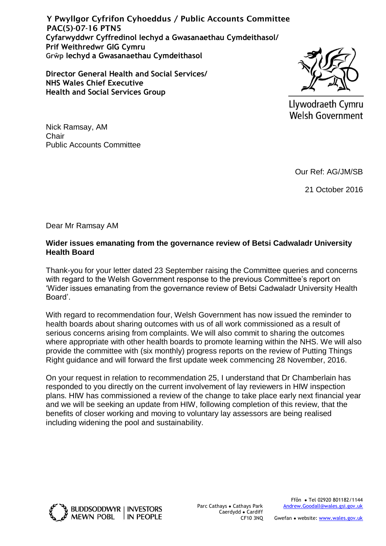**Cyfarwyddwr Cyffredinol Iechyd a Gwasanaethau Cymdeithasol/ Prif Weithredwr GIG Cymru Grŵp Iechyd a Gwasanaethau Cymdeithasol** Y Pwyllgor Cyfrifon Cyhoeddus / Public Accounts Committee PAC(5)-07-16 PTN5

**Director General Health and Social Services/ NHS Wales Chief Executive Health and Social Services Group**



Llywodraeth Cymru **Welsh Government** 

Nick Ramsay, AM **Chair** Public Accounts Committee

Our Ref: AG/JM/SB

21 October 2016

Dear Mr Ramsay AM

## **Wider issues emanating from the governance review of Betsi Cadwaladr University Health Board**

Thank-you for your letter dated 23 September raising the Committee queries and concerns with regard to the Welsh Government response to the previous Committee's report on 'Wider issues emanating from the governance review of Betsi Cadwaladr University Health Board'.

With regard to recommendation four, Welsh Government has now issued the reminder to health boards about sharing outcomes with us of all work commissioned as a result of serious concerns arising from complaints. We will also commit to sharing the outcomes where appropriate with other health boards to promote learning within the NHS. We will also provide the committee with (six monthly) progress reports on the review of Putting Things Right guidance and will forward the first update week commencing 28 November, 2016.

On your request in relation to recommendation 25, I understand that Dr Chamberlain has responded to you directly on the current involvement of lay reviewers in HIW inspection plans. HIW has commissioned a review of the change to take place early next financial year and we will be seeking an update from HIW, following completion of this review, that the benefits of closer working and moving to voluntary lay assessors are being realised including widening the pool and sustainability.



Parc Cathays ● Cathays Park Caerdydd ● Cardiff CF10 3NQ

Ffôn ● Tel 02920 801182/1144 [Andrew.Goodall@wales.gsi.gov.uk](mailto:Simon.Dean@wales.gsi.gov.uk)